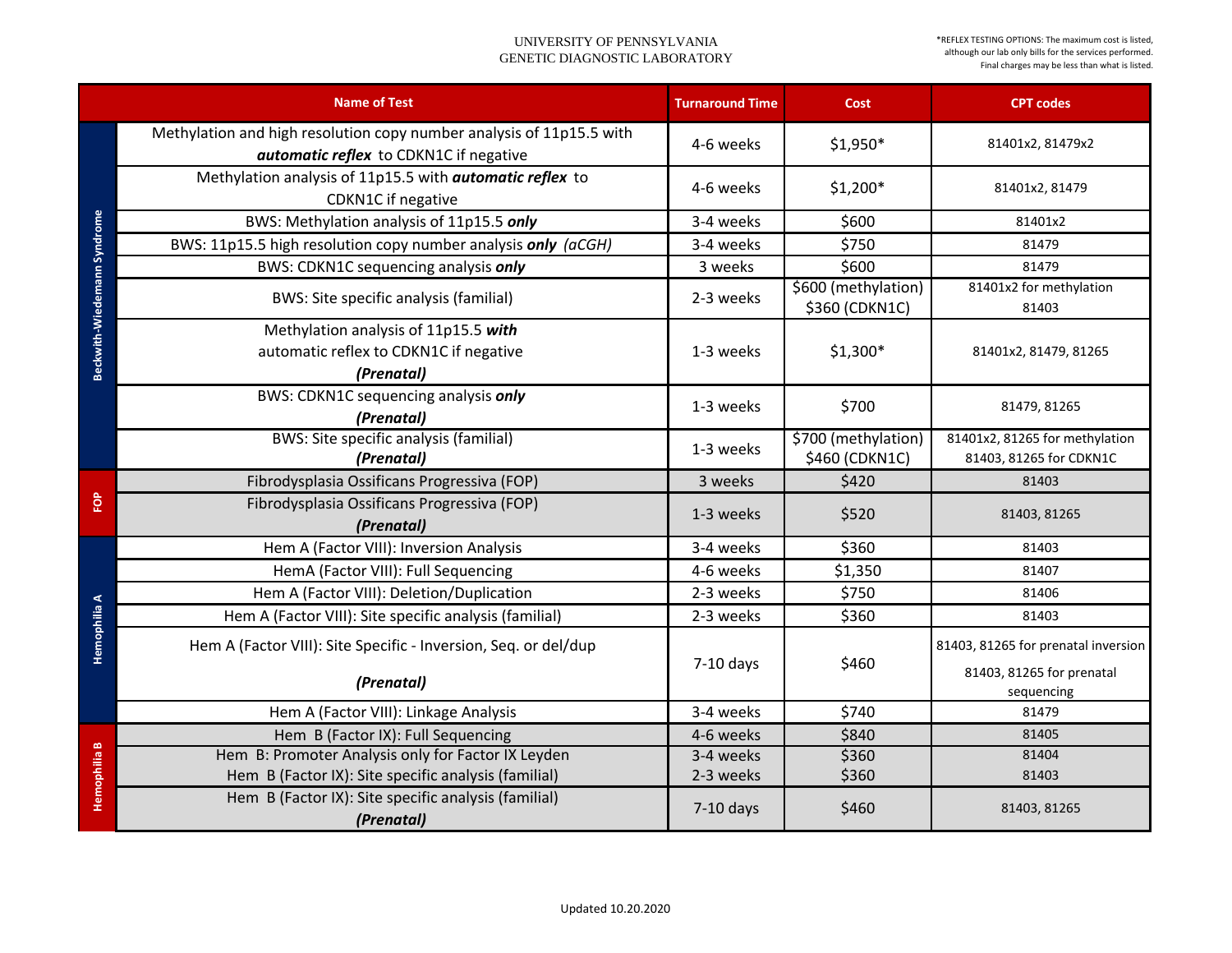|                             | <b>Name of Test</b>                                                                                            | <b>Turnaround Time</b> | <b>Cost</b>                           | <b>CPT codes</b>                                                 |
|-----------------------------|----------------------------------------------------------------------------------------------------------------|------------------------|---------------------------------------|------------------------------------------------------------------|
|                             | Methylation and high resolution copy number analysis of 11p15.5 with<br>automatic reflex to CDKN1C if negative | 4-6 weeks              | $$1,950*$                             | 81401x2, 81479x2                                                 |
|                             | Methylation analysis of 11p15.5 with <i>automatic reflex</i> to<br><b>CDKN1C</b> if negative                   | 4-6 weeks              | $$1,200*$                             | 81401x2, 81479                                                   |
|                             | BWS: Methylation analysis of 11p15.5 only                                                                      | 3-4 weeks              | \$600                                 | 81401x2                                                          |
|                             | BWS: 11p15.5 high resolution copy number analysis only (aCGH)                                                  | 3-4 weeks              | \$750                                 | 81479                                                            |
| Beckwith-Wiedemann Syndrome | BWS: CDKN1C sequencing analysis only                                                                           | 3 weeks                | \$600                                 | 81479                                                            |
|                             | <b>BWS: Site specific analysis (familial)</b>                                                                  | 2-3 weeks              | \$600 (methylation)<br>\$360 (CDKN1C) | 81401x2 for methylation<br>81403                                 |
|                             | Methylation analysis of 11p15.5 with<br>automatic reflex to CDKN1C if negative<br>(Prenatal)                   | 1-3 weeks              | $$1,300*$                             | 81401x2, 81479, 81265                                            |
|                             | BWS: CDKN1C sequencing analysis only<br>(Prenatal)                                                             | 1-3 weeks              | \$700                                 | 81479, 81265                                                     |
|                             | <b>BWS: Site specific analysis (familial)</b><br>(Prenatal)                                                    | 1-3 weeks              | \$700 (methylation)<br>\$460 (CDKN1C) | 81401x2, 81265 for methylation<br>81403, 81265 for CDKN1C        |
|                             | Fibrodysplasia Ossificans Progressiva (FOP)                                                                    | 3 weeks                | \$420                                 | 81403                                                            |
| <b>FOP</b>                  | Fibrodysplasia Ossificans Progressiva (FOP)<br>(Prenatal)                                                      | 1-3 weeks              | \$520                                 | 81403, 81265                                                     |
|                             | Hem A (Factor VIII): Inversion Analysis                                                                        | 3-4 weeks              | \$360                                 | 81403                                                            |
|                             | HemA (Factor VIII): Full Sequencing                                                                            | 4-6 weeks              | \$1,350                               | 81407                                                            |
| ⋖                           | Hem A (Factor VIII): Deletion/Duplication                                                                      | 2-3 weeks              | \$750                                 | 81406                                                            |
| 흽                           | Hem A (Factor VIII): Site specific analysis (familial)                                                         | 2-3 weeks              | \$360                                 | 81403                                                            |
| Hemophi                     | Hem A (Factor VIII): Site Specific - Inversion, Seq. or del/dup                                                | $7-10$ days            | \$460                                 | 81403, 81265 for prenatal inversion<br>81403, 81265 for prenatal |
|                             | (Prenatal)                                                                                                     |                        |                                       | sequencing                                                       |
|                             | Hem A (Factor VIII): Linkage Analysis                                                                          | 3-4 weeks              | \$740                                 | 81479                                                            |
|                             | Hem B (Factor IX): Full Sequencing                                                                             | 4-6 weeks              | \$840                                 | 81405                                                            |
| Hemophilia B                | Hem B: Promoter Analysis only for Factor IX Leyden                                                             | 3-4 weeks              | \$360                                 | 81404                                                            |
|                             | Hem B (Factor IX): Site specific analysis (familial)                                                           | 2-3 weeks              | \$360                                 | 81403                                                            |
|                             | Hem B (Factor IX): Site specific analysis (familial)<br>(Prenatal)                                             | $7-10$ days            | \$460                                 | 81403, 81265                                                     |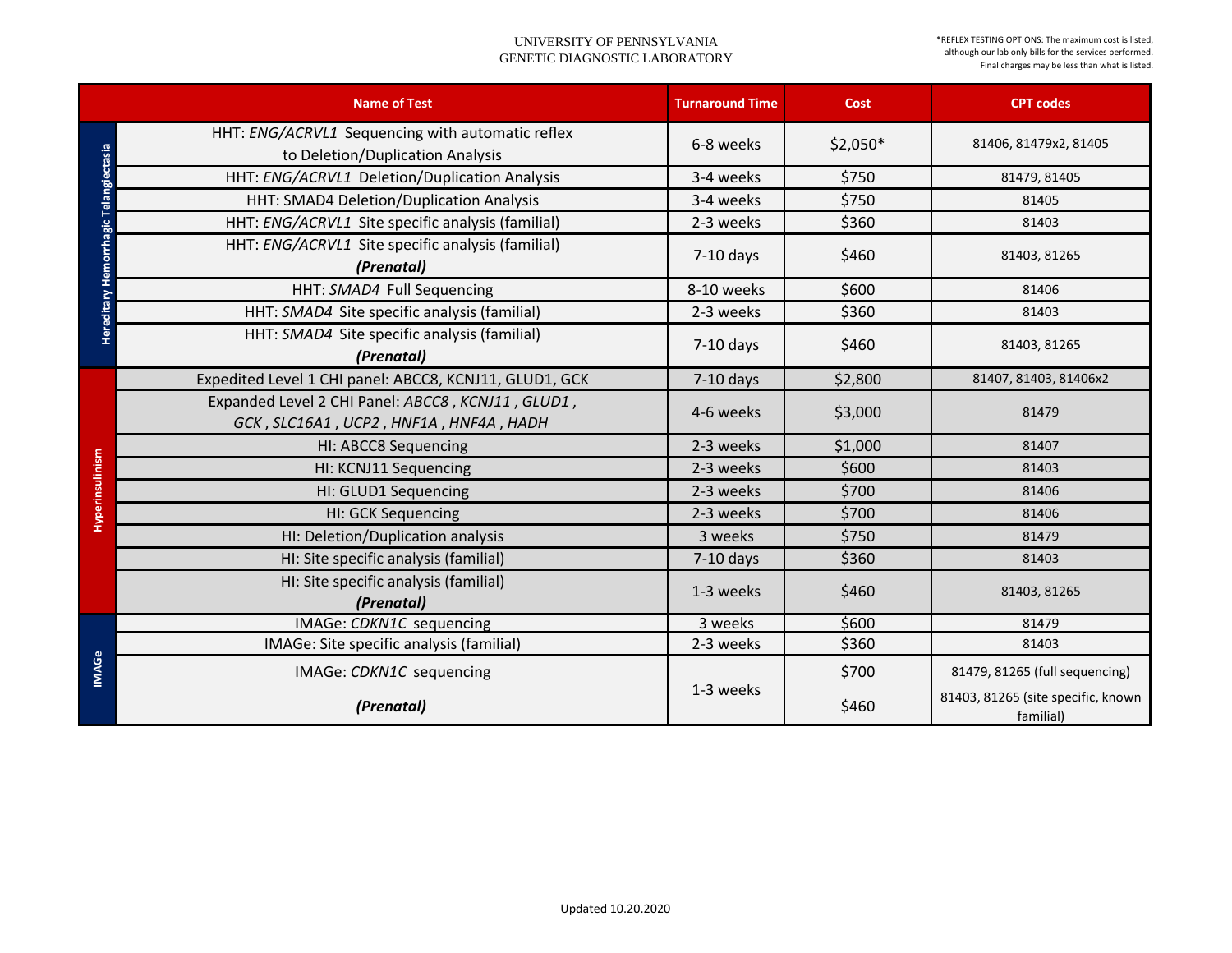|                            | <b>Name of Test</b>                                                                         | <b>Turnaround Time</b> | <b>Cost</b> | <b>CPT codes</b>                                |
|----------------------------|---------------------------------------------------------------------------------------------|------------------------|-------------|-------------------------------------------------|
|                            | HHT: ENG/ACRVL1 Sequencing with automatic reflex<br>to Deletion/Duplication Analysis        | 6-8 weeks              | $$2,050*$   | 81406, 81479x2, 81405                           |
|                            | HHT: ENG/ACRVL1 Deletion/Duplication Analysis                                               | 3-4 weeks              | \$750       | 81479, 81405                                    |
|                            | HHT: SMAD4 Deletion/Duplication Analysis                                                    | 3-4 weeks              | \$750       | 81405                                           |
|                            | HHT: ENG/ACRVL1 Site specific analysis (familial)                                           | 2-3 weeks              | \$360       | 81403                                           |
| Hemorrhagic Telangiectasia | HHT: ENG/ACRVL1 Site specific analysis (familial)<br>(Prenatal)                             | $7-10$ days            | \$460       | 81403, 81265                                    |
|                            | HHT: SMAD4 Full Sequencing                                                                  | 8-10 weeks             | \$600       | 81406                                           |
| Hereditary                 | HHT: SMAD4 Site specific analysis (familial)                                                | 2-3 weeks              | \$360       | 81403                                           |
|                            | HHT: SMAD4 Site specific analysis (familial)<br>(Prenatal)                                  | $7-10$ days            | \$460       | 81403, 81265                                    |
|                            | Expedited Level 1 CHI panel: ABCC8, KCNJ11, GLUD1, GCK                                      | $7-10$ days            | \$2,800     | 81407, 81403, 81406x2                           |
|                            | Expanded Level 2 CHI Panel: ABCC8, KCNJ11, GLUD1,<br>GCK, SLC16A1, UCP2, HNF1A, HNF4A, HADH | 4-6 weeks              | \$3,000     | 81479                                           |
|                            | <b>HI: ABCC8 Sequencing</b>                                                                 | 2-3 weeks              | \$1,000     | 81407                                           |
|                            | HI: KCNJ11 Sequencing                                                                       | 2-3 weeks              | \$600       | 81403                                           |
|                            | HI: GLUD1 Sequencing                                                                        | 2-3 weeks              | \$700       | 81406                                           |
| Hyperinsulinism            | <b>HI: GCK Sequencing</b>                                                                   | 2-3 weeks              | \$700       | 81406                                           |
|                            | HI: Deletion/Duplication analysis                                                           | 3 weeks                | \$750       | 81479                                           |
|                            | HI: Site specific analysis (familial)                                                       | $7-10$ days            | \$360       | 81403                                           |
|                            | HI: Site specific analysis (familial)<br>(Prenatal)                                         | 1-3 weeks              | \$460       | 81403, 81265                                    |
| <b>IMAGe</b>               | IMAGe: CDKN1C sequencing                                                                    | 3 weeks                | \$600       | 81479                                           |
|                            | IMAGe: Site specific analysis (familial)                                                    | 2-3 weeks              | \$360       | 81403                                           |
|                            | IMAGe: CDKN1C sequencing                                                                    | 1-3 weeks              | \$700       | 81479, 81265 (full sequencing)                  |
|                            | (Prenatal)                                                                                  |                        | \$460       | 81403, 81265 (site specific, known<br>familial) |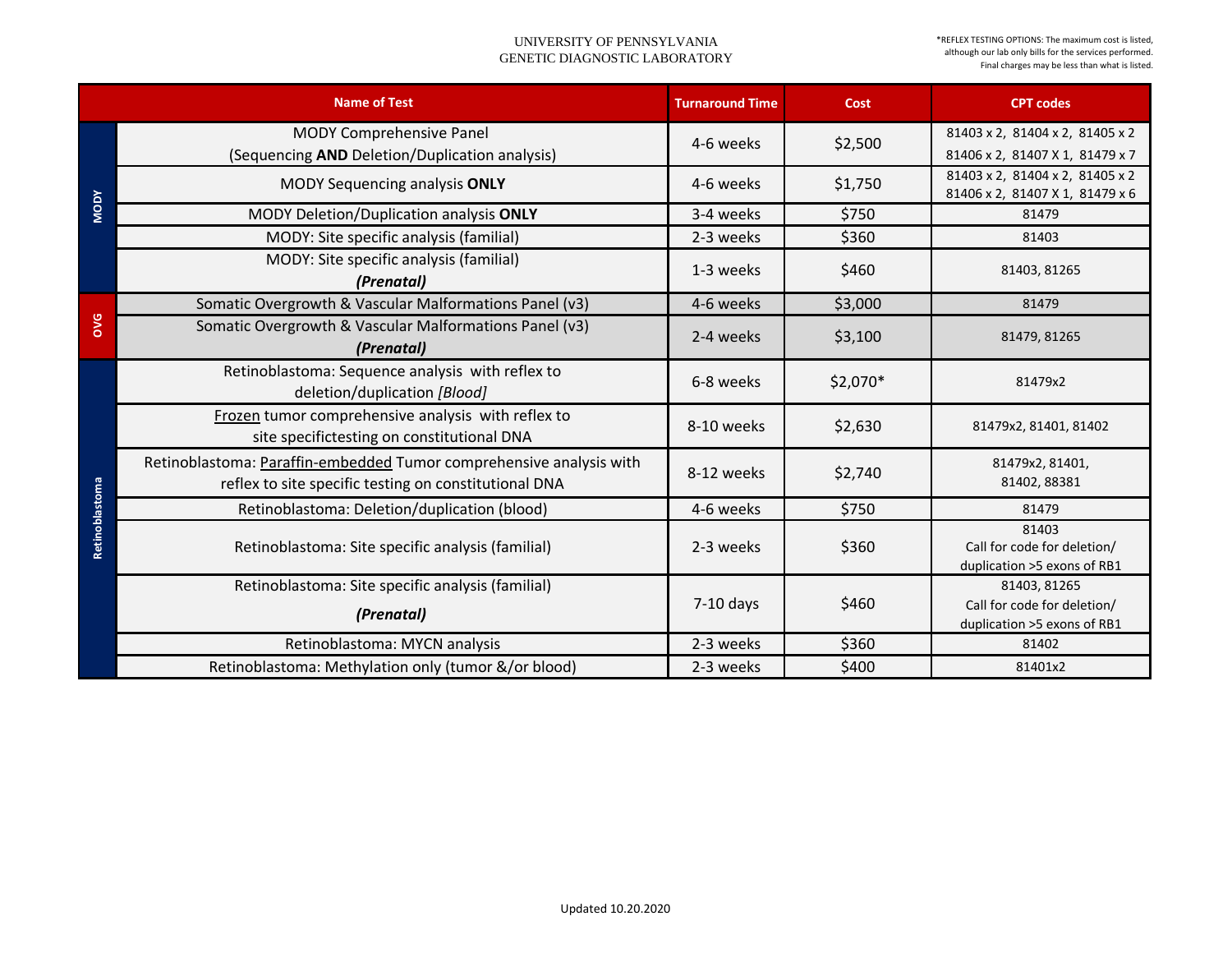|                | <b>Name of Test</b>                                                                                                          | <b>Turnaround Time</b> | <b>Cost</b> | <b>CPT codes</b>                                                    |
|----------------|------------------------------------------------------------------------------------------------------------------------------|------------------------|-------------|---------------------------------------------------------------------|
| <b>MODY</b>    | <b>MODY Comprehensive Panel</b><br>(Sequencing AND Deletion/Duplication analysis)                                            | 4-6 weeks              | \$2,500     | 81403 x 2, 81404 x 2, 81405 x 2<br>81406 x 2, 81407 X 1, 81479 x 7  |
|                | <b>MODY Sequencing analysis ONLY</b>                                                                                         | 4-6 weeks              | \$1,750     | 81403 x 2, 81404 x 2, 81405 x 2<br>81406 x 2, 81407 X 1, 81479 x 6  |
|                | MODY Deletion/Duplication analysis ONLY                                                                                      | 3-4 weeks              | \$750       | 81479                                                               |
|                | MODY: Site specific analysis (familial)                                                                                      | 2-3 weeks              | \$360       | 81403                                                               |
|                | MODY: Site specific analysis (familial)<br>(Prenatal)                                                                        | 1-3 weeks              | \$460       | 81403, 81265                                                        |
|                | Somatic Overgrowth & Vascular Malformations Panel (v3)                                                                       | 4-6 weeks              | \$3,000     | 81479                                                               |
| <b>OVG</b>     | Somatic Overgrowth & Vascular Malformations Panel (v3)<br>(Prenatal)                                                         | 2-4 weeks              | \$3,100     | 81479, 81265                                                        |
|                | Retinoblastoma: Sequence analysis with reflex to<br>deletion/duplication [Blood]                                             | 6-8 weeks              | $$2,070*$   | 81479x2                                                             |
|                | Frozen tumor comprehensive analysis with reflex to<br>site specifictesting on constitutional DNA                             | 8-10 weeks             | \$2,630     | 81479x2, 81401, 81402                                               |
|                | Retinoblastoma: Paraffin-embedded Tumor comprehensive analysis with<br>reflex to site specific testing on constitutional DNA | 8-12 weeks             | \$2,740     | 81479x2, 81401,<br>81402, 88381                                     |
|                | Retinoblastoma: Deletion/duplication (blood)                                                                                 | 4-6 weeks              | \$750       | 81479                                                               |
| Retinoblastoma | Retinoblastoma: Site specific analysis (familial)                                                                            | 2-3 weeks              | \$360       | 81403<br>Call for code for deletion/<br>duplication >5 exons of RB1 |
|                | Retinoblastoma: Site specific analysis (familial)                                                                            |                        |             | 81403, 81265                                                        |
|                | (Prenatal)                                                                                                                   | $7-10$ days            | \$460       | Call for code for deletion/<br>duplication >5 exons of RB1          |
|                | Retinoblastoma: MYCN analysis                                                                                                | 2-3 weeks              | \$360       | 81402                                                               |
|                | Retinoblastoma: Methylation only (tumor &/or blood)                                                                          | 2-3 weeks              | \$400       | 81401x2                                                             |